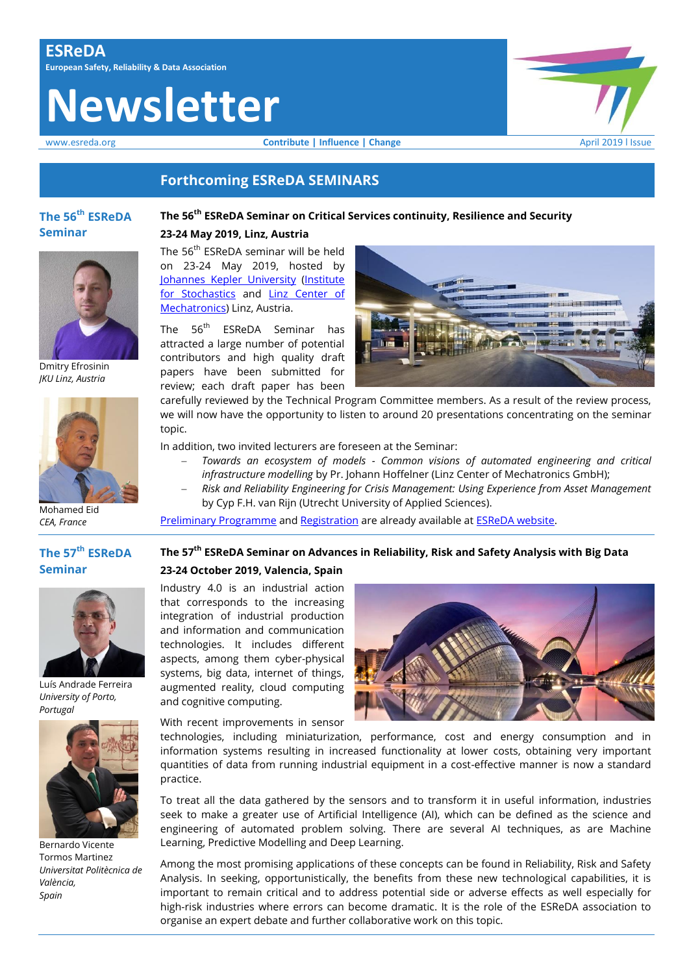# **Newsletter**

www.esreda.org **Contribute | Influence | Change Change** April 2019 I Issue



#### **Forthcoming ESReDA SEMINARS**

#### **The 56 th ESReDA Seminar**

Dmitry Efrosinin *JKU Linz, Austria*

## **The 56th ESReDA Seminar on Critical Services continuity, Resilience and Security**

#### **23-24 May 2019, Linz, Austria**

The 56<sup>th</sup> ESReDA seminar will be held on 23‐24 May 2019, hosted by [Johannes Kepler University](http://www.jku.at/) [\(Institute](http://www.jku.at/stochastik)  [for Stochastics](http://www.jku.at/stochastik) and [Linz Center of](http://www.lcm.at/)  [Mechatronics\)](http://www.lcm.at/) Linz, Austria.

The 56 th ESReDA Seminar has attracted a large number of potential contributors and high quality draft papers have been submitted for review; each draft paper has been



carefully reviewed by the Technical Program Committee members. As a result of the review process, we will now have the opportunity to listen to around 20 presentations concentrating on the seminar topic.

In addition, two invited lecturers are foreseen at the Seminar:

- *Towards an ecosystem of models - Common visions of automated engineering and critical infrastructure modelling* by Pr. Johann Hoffelner (Linz Center of Mechatronics GmbH);
- *Risk and Reliability Engineering for Crisis Management: Using Experience from Asset Management* by Cyp F.H. van Rijn (Utrecht University of Applied Sciences).

[Preliminary Programme](https://www.esreda.org/wp-content/uploads/2019/04/ESReDA-Seminar-56th-Draft-Programme.pdf) an[d Registration](https://www.esreda.org/wp-content/uploads/2019/03/Registration_-form-56th_seminar.pdf) are already available at **ESReDA** website.

#### **The 57 th ESReDA Seminar**

Mohamed Eid *CEA, France*



Luís Andrade Ferreira *University of Porto, Portugal*



Bernardo Vicente Tormos Martinez *Universitat Politècnica de València, Spain*

# **The 57th ESReDA Seminar on Advances in Reliability, Risk and Safety Analysis with Big Data**

#### **23-24 October 2019, Valencia, Spain**

Industry 4.0 is an industrial action that corresponds to the increasing integration of industrial production and information and communication technologies. It includes different aspects, among them cyber-physical systems, big data, internet of things, augmented reality, cloud computing and cognitive computing.

With recent improvements in sensor



technologies, including miniaturization, performance, cost and energy consumption and in information systems resulting in increased functionality at lower costs, obtaining very important quantities of data from running industrial equipment in a cost-effective manner is now a standard practice.

To treat all the data gathered by the sensors and to transform it in useful information, industries seek to make a greater use of Artificial Intelligence (AI), which can be defined as the science and engineering of automated problem solving. There are several AI techniques, as are Machine Learning, Predictive Modelling and Deep Learning.

Among the most promising applications of these concepts can be found in Reliability, Risk and Safety Analysis. In seeking, opportunistically, the benefits from these new technological capabilities, it is important to remain critical and to address potential side or adverse effects as well especially for high-risk industries where errors can become dramatic. It is the role of the ESReDA association to organise an expert debate and further collaborative work on this topic.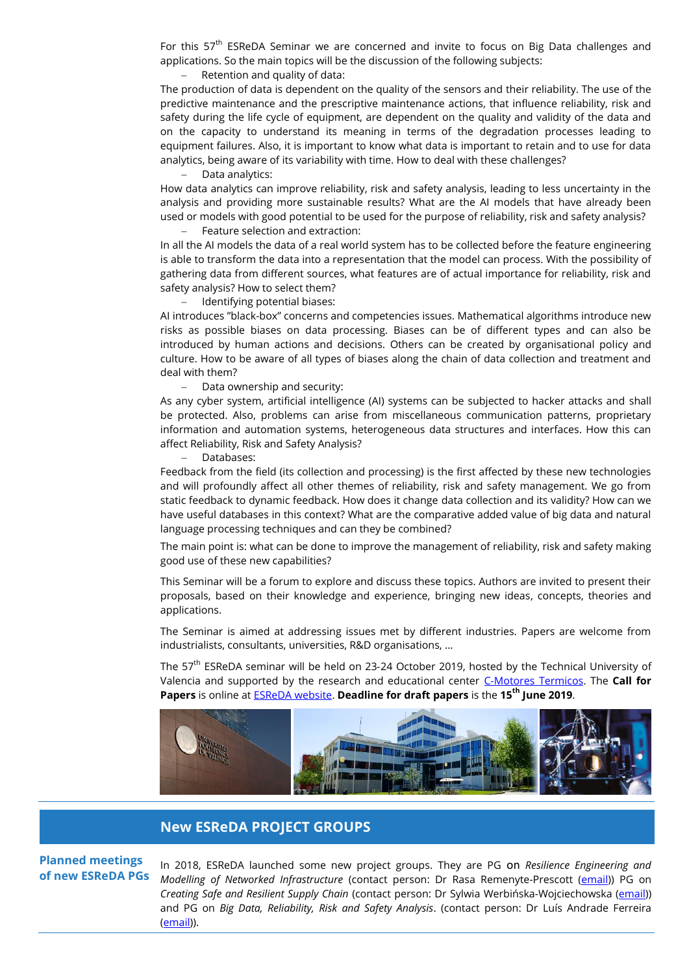For this 57<sup>th</sup> ESReDA Seminar we are concerned and invite to focus on Big Data challenges and applications. So the main topics will be the discussion of the following subjects:

#### Retention and quality of data:

The production of data is dependent on the quality of the sensors and their reliability. The use of the predictive maintenance and the prescriptive maintenance actions, that influence reliability, risk and safety during the life cycle of equipment, are dependent on the quality and validity of the data and on the capacity to understand its meaning in terms of the degradation processes leading to equipment failures. Also, it is important to know what data is important to retain and to use for data analytics, being aware of its variability with time. How to deal with these challenges?

Data analytics:

How data analytics can improve reliability, risk and safety analysis, leading to less uncertainty in the analysis and providing more sustainable results? What are the AI models that have already been used or models with good potential to be used for the purpose of reliability, risk and safety analysis?

Feature selection and extraction:

In all the AI models the data of a real world system has to be collected before the feature engineering is able to transform the data into a representation that the model can process. With the possibility of gathering data from different sources, what features are of actual importance for reliability, risk and safety analysis? How to select them?

 $-$  Identifying potential biases:

AI introduces "black-box" concerns and competencies issues. Mathematical algorithms introduce new risks as possible biases on data processing. Biases can be of different types and can also be introduced by human actions and decisions. Others can be created by organisational policy and culture. How to be aware of all types of biases along the chain of data collection and treatment and deal with them?

Data ownership and security:

As any cyber system, artificial intelligence (AI) systems can be subjected to hacker attacks and shall be protected. Also, problems can arise from miscellaneous communication patterns, proprietary information and automation systems, heterogeneous data structures and interfaces. How this can affect Reliability, Risk and Safety Analysis?

Databases:

Feedback from the field (its collection and processing) is the first affected by these new technologies and will profoundly affect all other themes of reliability, risk and safety management. We go from static feedback to dynamic feedback. How does it change data collection and its validity? How can we have useful databases in this context? What are the comparative added value of big data and natural language processing techniques and can they be combined?

The main point is: what can be done to improve the management of reliability, risk and safety making good use of these new capabilities?

This Seminar will be a forum to explore and discuss these topics. Authors are invited to present their proposals, based on their knowledge and experience, bringing new ideas, concepts, theories and applications.

The Seminar is aimed at addressing issues met by different industries. Papers are welcome from industrialists, consultants, universities, R&D organisations, …

The 57<sup>th</sup> ESReDA seminar will be held on 23-24 October 2019, hosted by the Technical University of Valencia and supported by the research and educational center [C-Motores Termicos.](https://www.cmt.upv.es/) The **Call for Papers** is online a[t ESReDA website.](https://www.esreda.org/event/57th-esreda-seminar/) **Deadline for draft papers** is the **15th June 2019**.



### **New ESReDA PROJECT GROUPS**

**Planned meetings of new ESReDA PGs**

In 2018, ESReDA launched some new project groups. They are PG on *Resilience Engineering and Modelling of Networked Infrastructure* (contact person: Dr Rasa Remenyte-Prescott [\(email\)](mailto:r.remenyte-prescott@nottingham.ac.uk)) PG on *Creating Safe and Resilient Supply Chain* (contact person: Dr Sylwia Werbińska-Wojciechowska [\(email\)](mailto:sylwia.werbinska@pwr.edu.pl)) and PG on *Big Data, Reliability, Risk and Safety Analysis*. (contact person: Dr Luís Andrade Ferreira [\(email\)\)](mailto:lferreir@fe.up.pt).